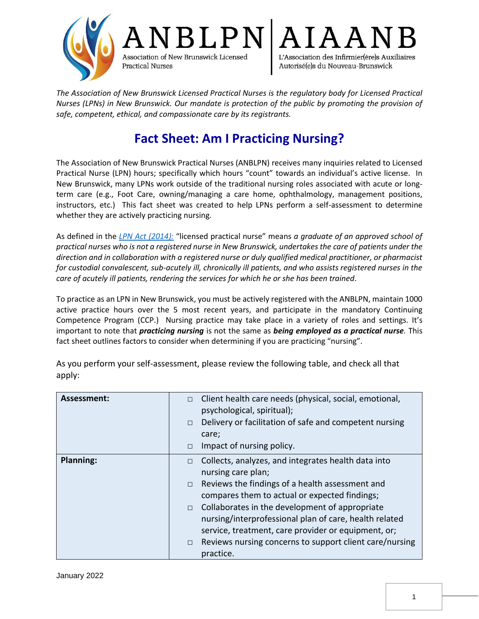

*The Association of New Brunswick Licensed Practical Nurses is the regulatory body for Licensed Practical Nurses (LPNs) in New Brunswick. Our mandate is protection of the public by promoting the provision of safe, competent, ethical, and compassionate care by its registrants.*

## **Fact Sheet: Am I Practicing Nursing?**

The Association of New Brunswick Practical Nurses (ANBLPN) receives many inquiries related to Licensed Practical Nurse (LPN) hours; specifically which hours "count" towards an individual's active license. In New Brunswick, many LPNs work outside of the traditional nursing roles associated with acute or longterm care (e.g., Foot Care, owning/managing a care home, ophthalmology, management positions, instructors, etc.) This fact sheet was created to help LPNs perform a self-assessment to determine whether they are actively practicing nursing.

As defined in the *[LPN Act \(2014\):](https://www.anblpn.ca/wp-content/uploads/2021/04/LPN_Act-2014.pdf)* "licensed practical nurse" means *a graduate of an approved school of practical nurses who is not a registered nurse in New Brunswick, undertakes the care of patients under the direction and in collaboration with a registered nurse or duly qualified medical practitioner, or pharmacist for custodial convalescent, sub-acutely ill, chronically ill patients, and who assists registered nurses in the care of acutely ill patients, rendering the services for which he or she has been trained*.

To practice as an LPN in New Brunswick, you must be actively registered with the ANBLPN, maintain 1000 active practice hours over the 5 most recent years, and participate in the mandatory Continuing Competence Program (CCP.) Nursing practice may take place in a variety of roles and settings. It's important to note that *practicing nursing* is not the same as *being employed as a practical nurse.* This fact sheet outlines factors to consider when determining if you are practicing "nursing".

| Assessment:      | Client health care needs (physical, social, emotional,<br>$\Box$<br>psychological, spiritual);<br>Delivery or facilitation of safe and competent nursing<br>$\Box$<br>care;<br>Impact of nursing policy.<br>$\Box$                                                                                                                                                                                                                                            |
|------------------|---------------------------------------------------------------------------------------------------------------------------------------------------------------------------------------------------------------------------------------------------------------------------------------------------------------------------------------------------------------------------------------------------------------------------------------------------------------|
| <b>Planning:</b> | Collects, analyzes, and integrates health data into<br>$\Box$<br>nursing care plan;<br>Reviews the findings of a health assessment and<br>$\Box$<br>compares them to actual or expected findings;<br>$\Box$ Collaborates in the development of appropriate<br>nursing/interprofessional plan of care, health related<br>service, treatment, care provider or equipment, or;<br>Reviews nursing concerns to support client care/nursing<br>$\Box$<br>practice. |

As you perform your self-assessment, please review the following table, and check all that apply: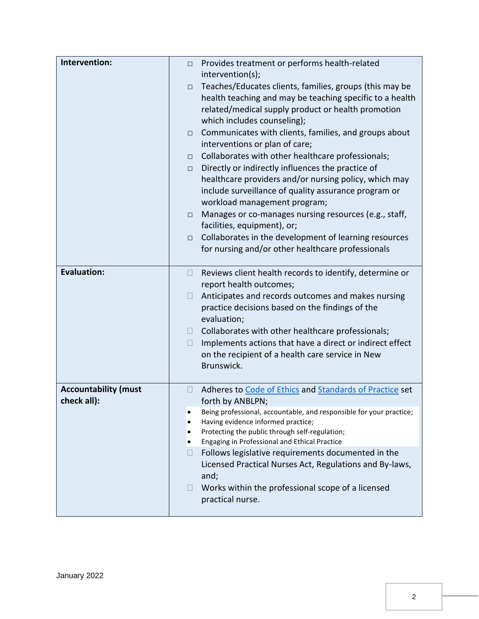| Teaches/Educates clients, families, groups (this may be<br>$\Box$<br>health teaching and may be teaching specific to a health<br>related/medical supply product or health promotion<br>which includes counseling);<br>Communicates with clients, families, and groups about<br>$\Box$<br>interventions or plan of care;<br>Collaborates with other healthcare professionals;<br>$\Box$<br>Directly or indirectly influences the practice of<br>$\Box$<br>healthcare providers and/or nursing policy, which may<br>include surveillance of quality assurance program or<br>workload management program;<br>Manages or co-manages nursing resources (e.g., staff,<br>$\Box$<br>facilities, equipment), or;<br>Collaborates in the development of learning resources<br>$\Box$<br>for nursing and/or other healthcare professionals<br><b>Evaluation:</b><br>Reviews client health records to identify, determine or<br>$\Box$<br>report health outcomes;<br>Anticipates and records outcomes and makes nursing<br>$\Box$<br>practice decisions based on the findings of the<br>evaluation;<br>Collaborates with other healthcare professionals;<br>$\Box$<br>Implements actions that have a direct or indirect effect<br>$\mathbf{L}$<br>on the recipient of a health care service in New<br>Brunswick.<br><b>Accountability (must</b><br>Adheres to Code of Ethics and Standards of Practice set<br>⊔<br>check all):<br>forth by ANBLPN;<br>Being professional, accountable, and responsible for your practice; | Intervention: | Provides treatment or performs health-related<br>$\Box$ |
|----------------------------------------------------------------------------------------------------------------------------------------------------------------------------------------------------------------------------------------------------------------------------------------------------------------------------------------------------------------------------------------------------------------------------------------------------------------------------------------------------------------------------------------------------------------------------------------------------------------------------------------------------------------------------------------------------------------------------------------------------------------------------------------------------------------------------------------------------------------------------------------------------------------------------------------------------------------------------------------------------------------------------------------------------------------------------------------------------------------------------------------------------------------------------------------------------------------------------------------------------------------------------------------------------------------------------------------------------------------------------------------------------------------------------------------------------------------------------------------------------------------|---------------|---------------------------------------------------------|
|                                                                                                                                                                                                                                                                                                                                                                                                                                                                                                                                                                                                                                                                                                                                                                                                                                                                                                                                                                                                                                                                                                                                                                                                                                                                                                                                                                                                                                                                                                                |               | intervention(s);                                        |
|                                                                                                                                                                                                                                                                                                                                                                                                                                                                                                                                                                                                                                                                                                                                                                                                                                                                                                                                                                                                                                                                                                                                                                                                                                                                                                                                                                                                                                                                                                                |               |                                                         |
|                                                                                                                                                                                                                                                                                                                                                                                                                                                                                                                                                                                                                                                                                                                                                                                                                                                                                                                                                                                                                                                                                                                                                                                                                                                                                                                                                                                                                                                                                                                |               |                                                         |
|                                                                                                                                                                                                                                                                                                                                                                                                                                                                                                                                                                                                                                                                                                                                                                                                                                                                                                                                                                                                                                                                                                                                                                                                                                                                                                                                                                                                                                                                                                                |               |                                                         |
|                                                                                                                                                                                                                                                                                                                                                                                                                                                                                                                                                                                                                                                                                                                                                                                                                                                                                                                                                                                                                                                                                                                                                                                                                                                                                                                                                                                                                                                                                                                |               |                                                         |
|                                                                                                                                                                                                                                                                                                                                                                                                                                                                                                                                                                                                                                                                                                                                                                                                                                                                                                                                                                                                                                                                                                                                                                                                                                                                                                                                                                                                                                                                                                                |               |                                                         |
|                                                                                                                                                                                                                                                                                                                                                                                                                                                                                                                                                                                                                                                                                                                                                                                                                                                                                                                                                                                                                                                                                                                                                                                                                                                                                                                                                                                                                                                                                                                |               |                                                         |
|                                                                                                                                                                                                                                                                                                                                                                                                                                                                                                                                                                                                                                                                                                                                                                                                                                                                                                                                                                                                                                                                                                                                                                                                                                                                                                                                                                                                                                                                                                                |               |                                                         |
|                                                                                                                                                                                                                                                                                                                                                                                                                                                                                                                                                                                                                                                                                                                                                                                                                                                                                                                                                                                                                                                                                                                                                                                                                                                                                                                                                                                                                                                                                                                |               |                                                         |
|                                                                                                                                                                                                                                                                                                                                                                                                                                                                                                                                                                                                                                                                                                                                                                                                                                                                                                                                                                                                                                                                                                                                                                                                                                                                                                                                                                                                                                                                                                                |               |                                                         |
|                                                                                                                                                                                                                                                                                                                                                                                                                                                                                                                                                                                                                                                                                                                                                                                                                                                                                                                                                                                                                                                                                                                                                                                                                                                                                                                                                                                                                                                                                                                |               |                                                         |
|                                                                                                                                                                                                                                                                                                                                                                                                                                                                                                                                                                                                                                                                                                                                                                                                                                                                                                                                                                                                                                                                                                                                                                                                                                                                                                                                                                                                                                                                                                                |               |                                                         |
|                                                                                                                                                                                                                                                                                                                                                                                                                                                                                                                                                                                                                                                                                                                                                                                                                                                                                                                                                                                                                                                                                                                                                                                                                                                                                                                                                                                                                                                                                                                |               |                                                         |
|                                                                                                                                                                                                                                                                                                                                                                                                                                                                                                                                                                                                                                                                                                                                                                                                                                                                                                                                                                                                                                                                                                                                                                                                                                                                                                                                                                                                                                                                                                                |               |                                                         |
|                                                                                                                                                                                                                                                                                                                                                                                                                                                                                                                                                                                                                                                                                                                                                                                                                                                                                                                                                                                                                                                                                                                                                                                                                                                                                                                                                                                                                                                                                                                |               |                                                         |
|                                                                                                                                                                                                                                                                                                                                                                                                                                                                                                                                                                                                                                                                                                                                                                                                                                                                                                                                                                                                                                                                                                                                                                                                                                                                                                                                                                                                                                                                                                                |               |                                                         |
|                                                                                                                                                                                                                                                                                                                                                                                                                                                                                                                                                                                                                                                                                                                                                                                                                                                                                                                                                                                                                                                                                                                                                                                                                                                                                                                                                                                                                                                                                                                |               |                                                         |
|                                                                                                                                                                                                                                                                                                                                                                                                                                                                                                                                                                                                                                                                                                                                                                                                                                                                                                                                                                                                                                                                                                                                                                                                                                                                                                                                                                                                                                                                                                                |               |                                                         |
|                                                                                                                                                                                                                                                                                                                                                                                                                                                                                                                                                                                                                                                                                                                                                                                                                                                                                                                                                                                                                                                                                                                                                                                                                                                                                                                                                                                                                                                                                                                |               |                                                         |
|                                                                                                                                                                                                                                                                                                                                                                                                                                                                                                                                                                                                                                                                                                                                                                                                                                                                                                                                                                                                                                                                                                                                                                                                                                                                                                                                                                                                                                                                                                                |               |                                                         |
|                                                                                                                                                                                                                                                                                                                                                                                                                                                                                                                                                                                                                                                                                                                                                                                                                                                                                                                                                                                                                                                                                                                                                                                                                                                                                                                                                                                                                                                                                                                |               |                                                         |
|                                                                                                                                                                                                                                                                                                                                                                                                                                                                                                                                                                                                                                                                                                                                                                                                                                                                                                                                                                                                                                                                                                                                                                                                                                                                                                                                                                                                                                                                                                                |               |                                                         |
|                                                                                                                                                                                                                                                                                                                                                                                                                                                                                                                                                                                                                                                                                                                                                                                                                                                                                                                                                                                                                                                                                                                                                                                                                                                                                                                                                                                                                                                                                                                |               |                                                         |
|                                                                                                                                                                                                                                                                                                                                                                                                                                                                                                                                                                                                                                                                                                                                                                                                                                                                                                                                                                                                                                                                                                                                                                                                                                                                                                                                                                                                                                                                                                                |               |                                                         |
|                                                                                                                                                                                                                                                                                                                                                                                                                                                                                                                                                                                                                                                                                                                                                                                                                                                                                                                                                                                                                                                                                                                                                                                                                                                                                                                                                                                                                                                                                                                |               |                                                         |
|                                                                                                                                                                                                                                                                                                                                                                                                                                                                                                                                                                                                                                                                                                                                                                                                                                                                                                                                                                                                                                                                                                                                                                                                                                                                                                                                                                                                                                                                                                                |               |                                                         |
|                                                                                                                                                                                                                                                                                                                                                                                                                                                                                                                                                                                                                                                                                                                                                                                                                                                                                                                                                                                                                                                                                                                                                                                                                                                                                                                                                                                                                                                                                                                |               |                                                         |
| Having evidence informed practice;<br>Protecting the public through self-regulation;                                                                                                                                                                                                                                                                                                                                                                                                                                                                                                                                                                                                                                                                                                                                                                                                                                                                                                                                                                                                                                                                                                                                                                                                                                                                                                                                                                                                                           |               |                                                         |
| Engaging in Professional and Ethical Practice<br>٠                                                                                                                                                                                                                                                                                                                                                                                                                                                                                                                                                                                                                                                                                                                                                                                                                                                                                                                                                                                                                                                                                                                                                                                                                                                                                                                                                                                                                                                             |               |                                                         |
| Follows legislative requirements documented in the<br>Ш                                                                                                                                                                                                                                                                                                                                                                                                                                                                                                                                                                                                                                                                                                                                                                                                                                                                                                                                                                                                                                                                                                                                                                                                                                                                                                                                                                                                                                                        |               |                                                         |
| Licensed Practical Nurses Act, Regulations and By-laws,                                                                                                                                                                                                                                                                                                                                                                                                                                                                                                                                                                                                                                                                                                                                                                                                                                                                                                                                                                                                                                                                                                                                                                                                                                                                                                                                                                                                                                                        |               |                                                         |
| and;                                                                                                                                                                                                                                                                                                                                                                                                                                                                                                                                                                                                                                                                                                                                                                                                                                                                                                                                                                                                                                                                                                                                                                                                                                                                                                                                                                                                                                                                                                           |               |                                                         |
| Works within the professional scope of a licensed                                                                                                                                                                                                                                                                                                                                                                                                                                                                                                                                                                                                                                                                                                                                                                                                                                                                                                                                                                                                                                                                                                                                                                                                                                                                                                                                                                                                                                                              |               |                                                         |
| practical nurse.                                                                                                                                                                                                                                                                                                                                                                                                                                                                                                                                                                                                                                                                                                                                                                                                                                                                                                                                                                                                                                                                                                                                                                                                                                                                                                                                                                                                                                                                                               |               |                                                         |